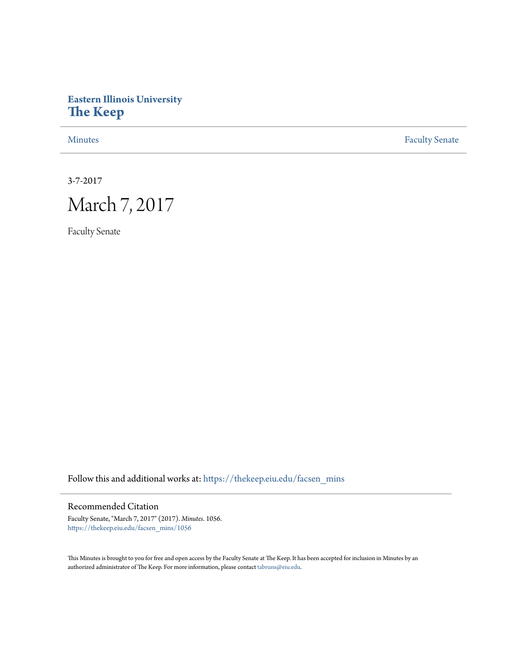## **Eastern Illinois University [The Keep](https://thekeep.eiu.edu?utm_source=thekeep.eiu.edu%2Ffacsen_mins%2F1056&utm_medium=PDF&utm_campaign=PDFCoverPages)**

[Minutes](https://thekeep.eiu.edu/facsen_mins?utm_source=thekeep.eiu.edu%2Ffacsen_mins%2F1056&utm_medium=PDF&utm_campaign=PDFCoverPages) **[Faculty Senate](https://thekeep.eiu.edu/fac_senate?utm_source=thekeep.eiu.edu%2Ffacsen_mins%2F1056&utm_medium=PDF&utm_campaign=PDFCoverPages)** 

3-7-2017



Faculty Senate

Follow this and additional works at: [https://thekeep.eiu.edu/facsen\\_mins](https://thekeep.eiu.edu/facsen_mins?utm_source=thekeep.eiu.edu%2Ffacsen_mins%2F1056&utm_medium=PDF&utm_campaign=PDFCoverPages)

## Recommended Citation

Faculty Senate, "March 7, 2017" (2017). *Minutes*. 1056. [https://thekeep.eiu.edu/facsen\\_mins/1056](https://thekeep.eiu.edu/facsen_mins/1056?utm_source=thekeep.eiu.edu%2Ffacsen_mins%2F1056&utm_medium=PDF&utm_campaign=PDFCoverPages)

This Minutes is brought to you for free and open access by the Faculty Senate at The Keep. It has been accepted for inclusion in Minutes by an authorized administrator of The Keep. For more information, please contact [tabruns@eiu.edu](mailto:tabruns@eiu.edu).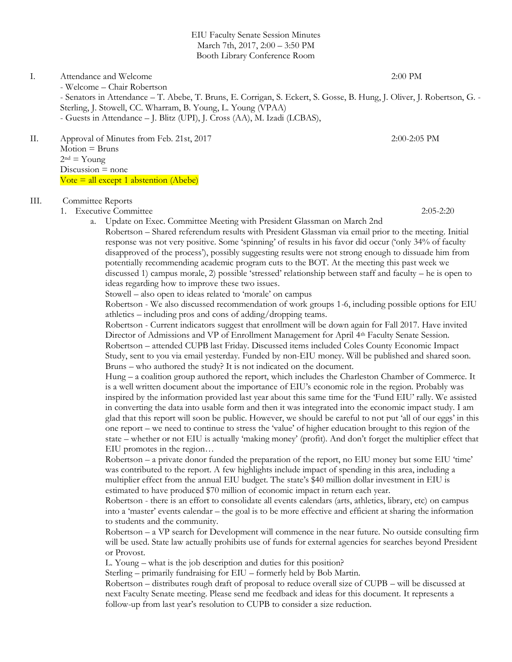EIU Faculty Senate Session Minutes March 7th, 2017, 2:00 – 3:50 PM Booth Library Conference Room

I. Attendance and Welcome 2:00 PM

- Welcome – Chair Robertson - Senators in Attendance – T. Abebe, T. Bruns, E. Corrigan, S. Eckert, S. Gosse, B. Hung, J. Oliver, J. Robertson, G. - Sterling, J. Stowell, CC. Wharram, B. Young, L. Young (VPAA) - Guests in Attendance – J. Blitz (UPI), J. Cross (AA), M. Izadi (LCBAS),

II. Approval of Minutes from Feb. 21st, 2017 2:00-2:05 PM Motion = Bruns

 $2<sup>nd</sup> = Young$  $Discussion = none$  $Vote = all except 1 abstraction (Abebe)$ 

## III. Committee Reports

1. Executive Committee 2:05-2:20

a. Update on Exec. Committee Meeting with President Glassman on March 2nd Robertson – Shared referendum results with President Glassman via email prior to the meeting. Initial

response was not very positive. Some 'spinning' of results in his favor did occur ('only 34% of faculty disapproved of the process'), possibly suggesting results were not strong enough to dissuade him from potentially recommending academic program cuts to the BOT. At the meeting this past week we discussed 1) campus morale, 2) possible 'stressed' relationship between staff and faculty – he is open to ideas regarding how to improve these two issues.

Stowell – also open to ideas related to 'morale' on campus

Robertson - We also discussed recommendation of work groups 1-6, including possible options for EIU athletics – including pros and cons of adding/dropping teams.

Robertson - Current indicators suggest that enrollment will be down again for Fall 2017. Have invited Director of Admissions and VP of Enrollment Management for April 4<sup>th</sup> Faculty Senate Session. Robertson – attended CUPB last Friday. Discussed items included Coles County Economic Impact Study, sent to you via email yesterday. Funded by non-EIU money. Will be published and shared soon. Bruns – who authored the study? It is not indicated on the document.

Hung – a coalition group authored the report, which includes the Charleston Chamber of Commerce. It is a well written document about the importance of EIU's economic role in the region. Probably was inspired by the information provided last year about this same time for the 'Fund EIU' rally. We assisted in converting the data into usable form and then it was integrated into the economic impact study. I am glad that this report will soon be public. However, we should be careful to not put 'all of our eggs' in this one report – we need to continue to stress the 'value' of higher education brought to this region of the state – whether or not EIU is actually 'making money' (profit). And don't forget the multiplier effect that EIU promotes in the region…

Robertson – a private donor funded the preparation of the report, no EIU money but some EIU 'time' was contributed to the report. A few highlights include impact of spending in this area, including a multiplier effect from the annual EIU budget. The state's \$40 million dollar investment in EIU is estimated to have produced \$70 million of economic impact in return each year.

Robertson - there is an effort to consolidate all events calendars (arts, athletics, library, etc) on campus into a 'master' events calendar – the goal is to be more effective and efficient at sharing the information to students and the community.

Robertson – a VP search for Development will commence in the near future. No outside consulting firm will be used. State law actually prohibits use of funds for external agencies for searches beyond President or Provost.

L. Young – what is the job description and duties for this position?

Sterling – primarily fundraising for EIU – formerly held by Bob Martin.

Robertson – distributes rough draft of proposal to reduce overall size of CUPB – will be discussed at next Faculty Senate meeting. Please send me feedback and ideas for this document. It represents a follow-up from last year's resolution to CUPB to consider a size reduction.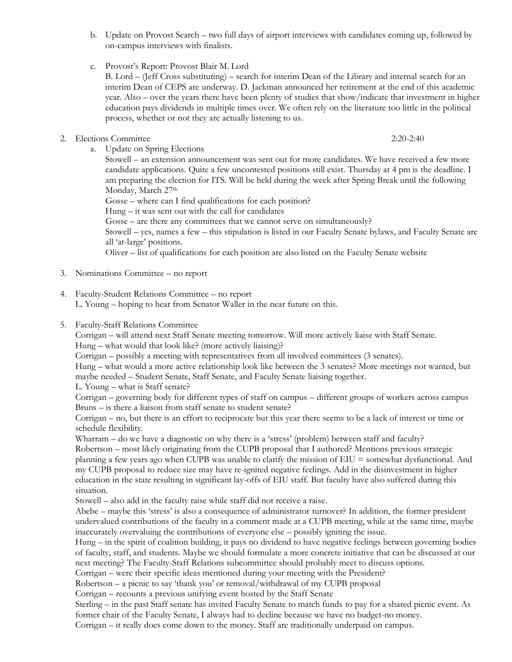- b. Update on Provost Search two full days of airport interviews with candidates coming up, followed by on-campus interviews with finalists.
- c. Provost's Report: Provost Blair M. Lord

B. Lord – (Jeff Cross substituting) – search for interim Dean of the Library and internal search for an interim Dean of CEPS are underway. D. Jackman announced her retirement at the end of this academic year. Also – over the years there have been plenty of studies that show/indicate that investment in higher education pays dividends in multiple times over. We often rely on the literature too little in the political process, whether or not they are actually listening to us.

2. Elections Committee 2:20-2:40

a. Update on Spring Elections Stowell – an extension announcement was sent out for more candidates. We have received a few more candidate applications. Quite a few uncontested positions still exist. Thursday at 4 pm is the deadline. I am preparing the election for ITS. Will be held during the week after Spring Break until the following Monday, March 27<sup>th</sup>

Gosse – where can I find qualifications for each position?

Hung – it was sent out with the call for candidates

Gosse – are there any committees that we cannot serve on simultaneously?

Stowell – yes, names a few – this stipulation is listed in our Faculty Senate bylaws, and Faculty Senate are all 'at-large' positions.

Oliver – list of qualifications for each position are also listed on the Faculty Senate website

- 3. Nominations Committee no report
- 4. Faculty-Student Relations Committee no report L. Young – hoping to hear from Senator Waller in the near future on this.
- 5. Faculty-Staff Relations Committee

Corrigan – will attend next Staff Senate meeting tomorrow. Will more actively liaise with Staff Senate.

Hung – what would that look like? (more actively liaising)?

Corrigan – possibly a meeting with representatives from all involved committees (3 senates).

Hung – what would a more active relationship look like between the 3 senates? More meetings not wanted, but maybe needed – Student Senate, Staff Senate, and Faculty Senate liaising together.

L. Young – what is Staff senate?

Corrigan – governing body for different types of staff on campus – different groups of workers across campus Bruns – is there a liaison from staff senate to student senate?

Corrigan – no, but there is an effort to reciprocate but this year there seems to be a lack of interest or time or schedule flexibility.

Wharram – do we have a diagnostic on why there is a 'stress' (problem) between staff and faculty?

Robertson – most likely originating from the CUPB proposal that I authored? Mentions previous strategic planning a few years ago when CUPB was unable to clarify the mission of EIU = somewhat dysfunctional. And my CUPB proposal to reduce size may have re-ignited negative feelings. Add in the disinvestment in higher education in the state resulting in significant lay-offs of EIU staff. But faculty have also suffered during this situation.

Stowell – also add in the faculty raise while staff did not receive a raise.

Abebe – maybe this 'stress' is also a consequence of administrator turnover? In addition, the former president undervalued contributions of the faculty in a comment made at a CUPB meeting, while at the same time, maybe inaccurately overvaluing the contributions of everyone else – possibly igniting the issue.

Hung – in the spirit of coalition building, it pays no dividend to have negative feelings between governing bodies of faculty, staff, and students. Maybe we should formulate a more concrete initiative that can be discussed at our next meeting? The Faculty-Staff Relations subcommittee should probably meet to discuss options.

Corrigan – were their specific ideas mentioned during your meeting with the President?

Robertson – a picnic to say 'thank you' or removal/withdrawal of my CUPB proposal

Corrigan – recounts a previous unifying event hosted by the Staff Senate

Sterling – in the past Staff senate has invited Faculty Senate to match funds to pay for a shared picnic event. As former chair of the Faculty Senate, I always had to decline because we have no budget-no money.

Corrigan – it really does come down to the money. Staff are traditionally underpaid on campus.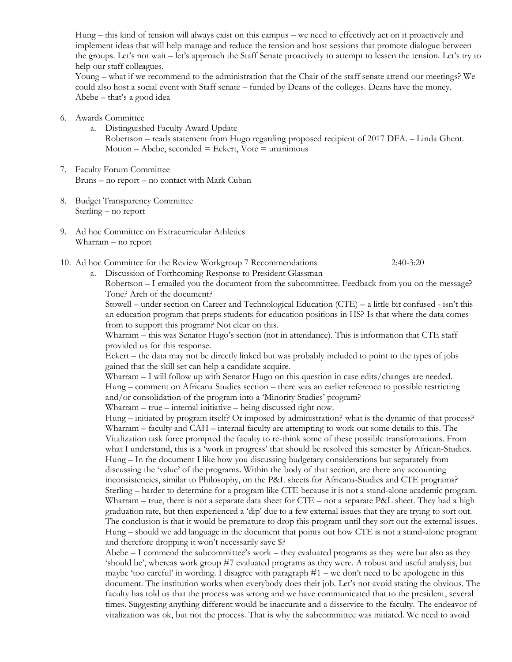Hung – this kind of tension will always exist on this campus – we need to effectively act on it proactively and implement ideas that will help manage and reduce the tension and host sessions that promote dialogue between the groups. Let's not wait – let's approach the Staff Senate proactively to attempt to lessen the tension. Let's try to help our staff colleagues.

Young – what if we recommend to the administration that the Chair of the staff senate attend our meetings? We could also host a social event with Staff senate – funded by Deans of the colleges. Deans have the money. Abebe – that's a good idea

- 6. Awards Committee
	- a. Distinguished Faculty Award Update

Robertson – reads statement from Hugo regarding proposed recipient of 2017 DFA. – Linda Ghent.  $Motion - Abebe, seconded = Eckert, Vote = unanimous$ 

- 7. Faculty Forum Committee Bruns – no report – no contact with Mark Cuban
- 8. Budget Transparency Committee Sterling – no report
- 9. Ad hoc Committee on Extracurricular Athletics Wharram – no report
- 10. Ad hoc Committee for the Review Workgroup 7 Recommendations 2:40-3:20

a. Discussion of Forthcoming Response to President Glassman Robertson – I emailed you the document from the subcommittee. Feedback from you on the message?

Tone? Arch of the document? Stowell – under section on Career and Technological Education (CTE) – a little bit confused - isn't this an education program that preps students for education positions in HS? Is that where the data comes from to support this program? Not clear on this.

Wharram – this was Senator Hugo's section (not in attendance). This is information that CTE staff provided us for this response.

Eckert – the data may not be directly linked but was probably included to point to the types of jobs gained that the skill set can help a candidate acquire.

Wharram – I will follow up with Senator Hugo on this question in case edits/changes are needed. Hung – comment on Africana Studies section – there was an earlier reference to possible restricting and/or consolidation of the program into a 'Minority Studies' program?

Wharram – true – internal initiative – being discussed right now.

Hung – initiated by program itself? Or imposed by administration? what is the dynamic of that process? Wharram – faculty and CAH – internal faculty are attempting to work out some details to this. The Vitalization task force prompted the faculty to re-think some of these possible transformations. From what I understand, this is a 'work in progress' that should be resolved this semester by African-Studies. Hung – In the document I like how you discussing budgetary considerations but separately from discussing the 'value' of the programs. Within the body of that section, are there any accounting inconsistencies, similar to Philosophy, on the P&L sheets for Africana-Studies and CTE programs? Sterling – harder to determine for a program like CTE because it is not a stand-alone academic program. Wharram – true, there is not a separate data sheet for CTE – not a separate P&L sheet. They had a high graduation rate, but then experienced a 'dip' due to a few external issues that they are trying to sort out. The conclusion is that it would be premature to drop this program until they sort out the external issues. Hung – should we add language in the document that points out how CTE is not a stand-alone program and therefore dropping it won't necessarily save \$?

Abebe – I commend the subcommittee's work – they evaluated programs as they were but also as they 'should be', whereas work group #7 evaluated programs as they were. A robust and useful analysis, but maybe 'too careful' in wording. I disagree with paragraph #1 – we don't need to be apologetic in this document. The institution works when everybody does their job. Let's not avoid stating the obvious. The faculty has told us that the process was wrong and we have communicated that to the president, several times. Suggesting anything different would be inaccurate and a disservice to the faculty. The endeavor of vitalization was ok, but not the process. That is why the subcommittee was initiated. We need to avoid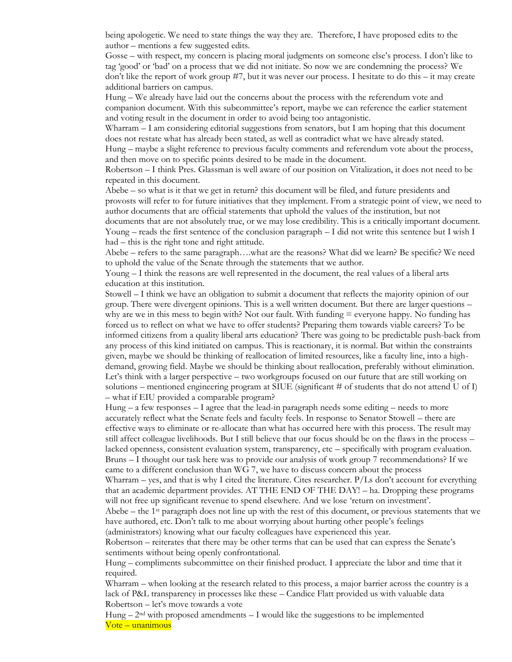being apologetic. We need to state things the way they are. Therefore, I have proposed edits to the author – mentions a few suggested edits.

Gosse – with respect, my concern is placing moral judgments on someone else's process. I don't like to tag 'good' or 'bad' on a process that we did not initiate. So now we are condemning the process? We don't like the report of work group #7, but it was never our process. I hesitate to do this – it may create additional barriers on campus.

Hung – We already have laid out the concerns about the process with the referendum vote and companion document. With this subcommittee's report, maybe we can reference the earlier statement and voting result in the document in order to avoid being too antagonistic.

Wharram – I am considering editorial suggestions from senators, but I am hoping that this document does not restate what has already been stated, as well as contradict what we have already stated. Hung – maybe a slight reference to previous faculty comments and referendum vote about the process,

and then move on to specific points desired to be made in the document.

Robertson – I think Pres. Glassman is well aware of our position on Vitalization, it does not need to be repeated in this document.

Abebe – so what is it that we get in return? this document will be filed, and future presidents and provosts will refer to for future initiatives that they implement. From a strategic point of view, we need to author documents that are official statements that uphold the values of the institution, but not documents that are not absolutely true, or we may lose credibility. This is a critically important document. Young – reads the first sentence of the conclusion paragraph – I did not write this sentence but I wish I had – this is the right tone and right attitude.

Abebe – refers to the same paragraph….what are the reasons? What did we learn? Be specific? We need to uphold the value of the Senate through the statements that we author.

Young – I think the reasons are well represented in the document, the real values of a liberal arts education at this institution.

Stowell – I think we have an obligation to submit a document that reflects the majority opinion of our group. There were divergent opinions. This is a well written document. But there are larger questions – why are we in this mess to begin with? Not our fault. With funding  $=$  everyone happy. No funding has forced us to reflect on what we have to offer students? Preparing them towards viable careers? To be informed citizens from a quality liberal arts education? There was going to be predictable push-back from any process of this kind initiated on campus. This is reactionary, it is normal. But within the constraints given, maybe we should be thinking of reallocation of limited resources, like a faculty line, into a highdemand, growing field. Maybe we should be thinking about reallocation, preferably without elimination. Let's think with a larger perspective – two workgroups focused on our future that are still working on solutions – mentioned engineering program at SIUE (significant  $\#$  of students that do not attend U of I) – what if EIU provided a comparable program?

Hung  $-$  a few responses  $-$  I agree that the lead-in paragraph needs some editing  $-$  needs to more accurately reflect what the Senate feels and faculty feels. In response to Senator Stowell – there are effective ways to eliminate or re-allocate than what has occurred here with this process. The result may still affect colleague livelihoods. But I still believe that our focus should be on the flaws in the process – lacked openness, consistent evaluation system, transparency, etc – specifically with program evaluation. Bruns – I thought our task here was to provide our analysis of work group 7 recommendations? If we came to a different conclusion than WG 7, we have to discuss concern about the process

Wharram – yes, and that is why I cited the literature. Cites researcher.  $P/Ls$  don't account for everything that an academic department provides. AT THE END OF THE DAY! – ha. Dropping these programs will not free up significant revenue to spend elsewhere. And we lose 'return on investment'.

Abebe – the 1<sup>st</sup> paragraph does not line up with the rest of this document, or previous statements that we have authored, etc. Don't talk to me about worrying about hurting other people's feelings (administrators) knowing what our faculty colleagues have experienced this year.

Robertson – reiterates that there may be other terms that can be used that can express the Senate's sentiments without being openly confrontational.

Hung – compliments subcommittee on their finished product. I appreciate the labor and time that it required.

Wharram – when looking at the research related to this process, a major barrier across the country is a lack of P&L transparency in processes like these – Candice Flatt provided us with valuable data Robertson – let's move towards a vote

Hung  $-2<sup>nd</sup>$  with proposed amendments  $-1$  would like the suggestions to be implemented Vote – unanimous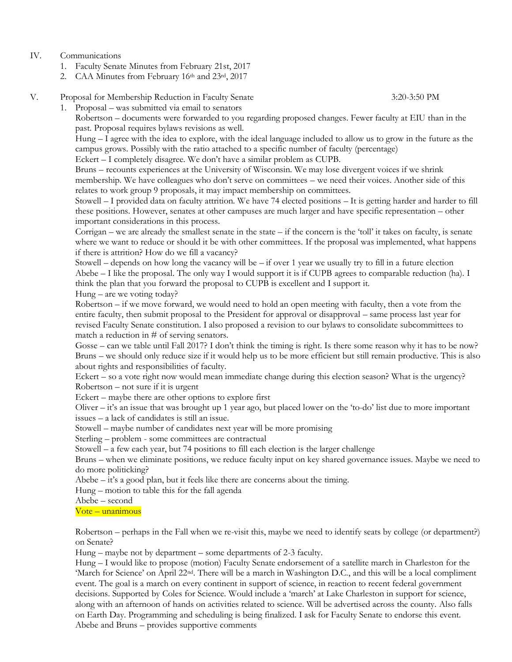## IV. Communications

- 1. Faculty Senate Minutes from February 21st, 2017
- 2. CAA Minutes from February 16th and 23rd, 2017
- V. Proposal for Membership Reduction in Faculty Senate 3:20-3:50 PM

1. Proposal – was submitted via email to senators

Robertson – documents were forwarded to you regarding proposed changes. Fewer faculty at EIU than in the past. Proposal requires bylaws revisions as well.

Hung – I agree with the idea to explore, with the ideal language included to allow us to grow in the future as the campus grows. Possibly with the ratio attached to a specific number of faculty (percentage)

Eckert – I completely disagree. We don't have a similar problem as CUPB.

Bruns – recounts experiences at the University of Wisconsin. We may lose divergent voices if we shrink membership. We have colleagues who don't serve on committees – we need their voices. Another side of this relates to work group 9 proposals, it may impact membership on committees.

Stowell – I provided data on faculty attrition. We have 74 elected positions – It is getting harder and harder to fill these positions. However, senates at other campuses are much larger and have specific representation – other important considerations in this process.

Corrigan – we are already the smallest senate in the state – if the concern is the 'toll' it takes on faculty, is senate where we want to reduce or should it be with other committees. If the proposal was implemented, what happens if there is attrition? How do we fill a vacancy?

Stowell – depends on how long the vacancy will be – if over 1 year we usually try to fill in a future election Abebe – I like the proposal. The only way I would support it is if CUPB agrees to comparable reduction (ha). I think the plan that you forward the proposal to CUPB is excellent and I support it.

Hung – are we voting today?

Robertson – if we move forward, we would need to hold an open meeting with faculty, then a vote from the entire faculty, then submit proposal to the President for approval or disapproval – same process last year for revised Faculty Senate constitution. I also proposed a revision to our bylaws to consolidate subcommittees to match a reduction in  $#$  of serving senators.

Gosse – can we table until Fall 2017? I don't think the timing is right. Is there some reason why it has to be now? Bruns – we should only reduce size if it would help us to be more efficient but still remain productive. This is also about rights and responsibilities of faculty.

Eckert – so a vote right now would mean immediate change during this election season? What is the urgency? Robertson – not sure if it is urgent

Eckert – maybe there are other options to explore first

Oliver – it's an issue that was brought up 1 year ago, but placed lower on the 'to-do' list due to more important issues – a lack of candidates is still an issue.

Stowell – maybe number of candidates next year will be more promising

Sterling – problem - some committees are contractual

Stowell – a few each year, but 74 positions to fill each election is the larger challenge

Bruns – when we eliminate positions, we reduce faculty input on key shared governance issues. Maybe we need to do more politicking?

Abebe – it's a good plan, but it feels like there are concerns about the timing.

Hung – motion to table this for the fall agenda

Abebe – second

Vote – unanimous

Robertson – perhaps in the Fall when we re-visit this, maybe we need to identify seats by college (or department?) on Senate?

Hung – maybe not by department – some departments of 2-3 faculty.

Hung – I would like to propose (motion) Faculty Senate endorsement of a satellite march in Charleston for the 'March for Science' on April 22nd. There will be a march in Washington D.C., and this will be a local compliment event. The goal is a march on every continent in support of science, in reaction to recent federal government decisions. Supported by Coles for Science. Would include a 'march' at Lake Charleston in support for science, along with an afternoon of hands on activities related to science. Will be advertised across the county. Also falls on Earth Day. Programming and scheduling is being finalized. I ask for Faculty Senate to endorse this event. Abebe and Bruns – provides supportive comments